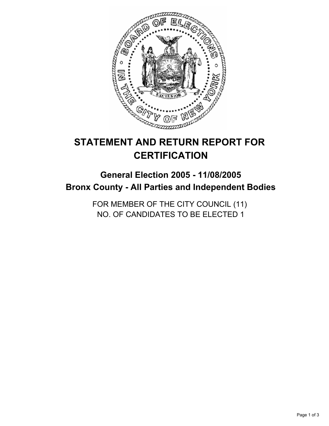

# **STATEMENT AND RETURN REPORT FOR CERTIFICATION**

# **General Election 2005 - 11/08/2005 Bronx County - All Parties and Independent Bodies**

FOR MEMBER OF THE CITY COUNCIL (11) NO. OF CANDIDATES TO BE ELECTED 1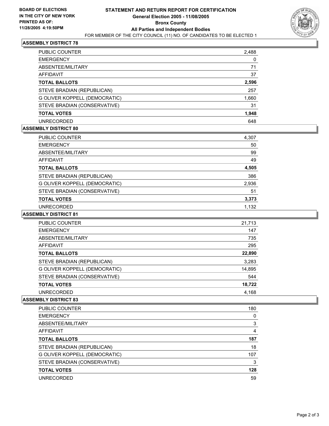

## **ASSEMBLY DISTRICT 78**

| PUBLIC COUNTER                | 2,488 |
|-------------------------------|-------|
| <b>EMERGENCY</b>              | 0     |
| ABSENTEE/MILITARY             | 71    |
| AFFIDAVIT                     | 37    |
| <b>TOTAL BALLOTS</b>          | 2,596 |
| STEVE BRADIAN (REPUBLICAN)    | 257   |
| G OLIVER KOPPELL (DEMOCRATIC) | 1,660 |
| STEVE BRADIAN (CONSERVATIVE)  | 31    |
| <b>TOTAL VOTES</b>            | 1,948 |
| <b>UNRECORDED</b>             | 648   |

#### **ASSEMBLY DISTRICT 80**

| PUBLIC COUNTER                | 4,307 |
|-------------------------------|-------|
| <b>EMERGENCY</b>              | 50    |
| ABSENTEE/MILITARY             | 99    |
| AFFIDAVIT                     | 49    |
| <b>TOTAL BALLOTS</b>          | 4,505 |
| STEVE BRADIAN (REPUBLICAN)    | 386   |
| G OLIVER KOPPELL (DEMOCRATIC) | 2,936 |
| STEVE BRADIAN (CONSERVATIVE)  | 51    |
| <b>TOTAL VOTES</b>            | 3,373 |
| UNRECORDED                    | 1,132 |

#### **ASSEMBLY DISTRICT 81**

| PUBLIC COUNTER                | 21,713 |
|-------------------------------|--------|
| <b>EMERGENCY</b>              | 147    |
| ABSENTEE/MILITARY             | 735    |
| AFFIDAVIT                     | 295    |
| <b>TOTAL BALLOTS</b>          | 22,890 |
| STEVE BRADIAN (REPUBLICAN)    | 3,283  |
| G OLIVER KOPPELL (DEMOCRATIC) | 14,895 |
| STEVE BRADIAN (CONSERVATIVE)  | 544    |
| <b>TOTAL VOTES</b>            | 18,722 |
| <b>UNRECORDED</b>             | 4,168  |

#### **ASSEMBLY DISTRICT 83**

| <b>PUBLIC COUNTER</b>         | 180 |
|-------------------------------|-----|
| <b>EMERGENCY</b>              |     |
| ABSENTEE/MILITARY             |     |
| AFFIDAVIT                     | 4   |
| <b>TOTAL BALLOTS</b>          | 187 |
| STEVE BRADIAN (REPUBLICAN)    | 18  |
| G OLIVER KOPPELL (DEMOCRATIC) | 107 |
| STEVE BRADIAN (CONSERVATIVE)  | 3   |
| <b>TOTAL VOTES</b>            | 128 |
| UNRECORDED                    | 59  |